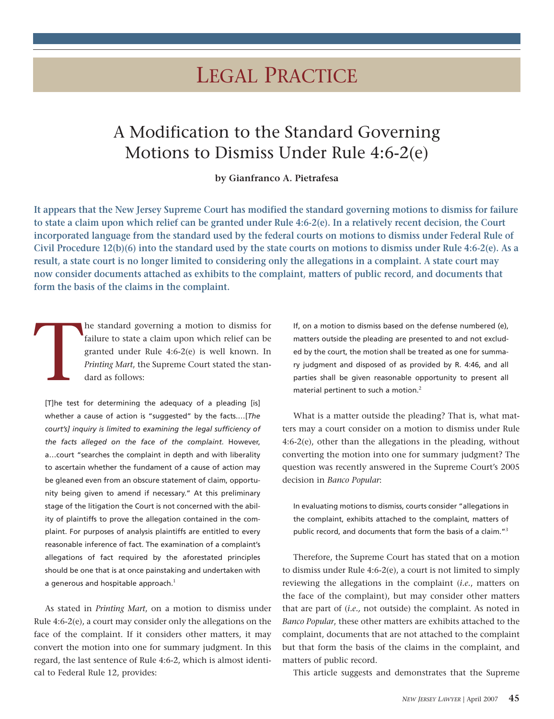# LEGAL PRACTICE

# A Modification to the Standard Governing Motions to Dismiss Under Rule 4:6-2(e)

### **by Gianfranco A. Pietrafesa**

**It appears that the New Jersey Supreme Court has modified the standard governing motions to dismiss for failure to state a claim upon which relief can be granted under Rule 4:6-2(e). In a relatively recent decision, the Court incorporated language from the standard used by the federal courts on motions to dismiss under Federal Rule of Civil Procedure 12(b)(6) into the standard used by the state courts on motions to dismiss under Rule 4:6-2(e). As a result, a state court is no longer limited to considering only the allegations in a complaint. A state court may now consider documents attached as exhibits to the complaint, matters of public record, and documents that form the basis of the claims in the complaint.**

T he standard governing a motion to dismiss for failure to state a claim upon which relief can be granted under Rule 4:6-2(e) is well known. In *Printing Mart*, the Supreme Court stated the standard as follows:

[T]he test for determining the adequacy of a pleading [is] whether a cause of action is "suggested" by the facts.…[*The court's] inquiry is limited to examining the legal sufficiency of the facts alleged on the face of the complaint*. However, a…court "searches the complaint in depth and with liberality to ascertain whether the fundament of a cause of action may be gleaned even from an obscure statement of claim, opportunity being given to amend if necessary." At this preliminary stage of the litigation the Court is not concerned with the ability of plaintiffs to prove the allegation contained in the complaint. For purposes of analysis plaintiffs are entitled to every reasonable inference of fact. The examination of a complaint's allegations of fact required by the aforestated principles should be one that is at once painstaking and undertaken with a generous and hospitable approach. $^1$ 

As stated in *Printing Mart*, on a motion to dismiss under Rule 4:6-2(e), a court may consider only the allegations on the face of the complaint. If it considers other matters, it may convert the motion into one for summary judgment. In this regard, the last sentence of Rule 4:6-2, which is almost identical to Federal Rule 12, provides:

If, on a motion to dismiss based on the defense numbered (e), matters outside the pleading are presented to and not excluded by the court, the motion shall be treated as one for summary judgment and disposed of as provided by R. 4:46, and all parties shall be given reasonable opportunity to present all material pertinent to such a motion.<sup>2</sup>

What is a matter outside the pleading? That is, what matters may a court consider on a motion to dismiss under Rule 4:6-2(e), other than the allegations in the pleading, without converting the motion into one for summary judgment? The question was recently answered in the Supreme Court's 2005 decision in *Banco Popular*:

In evaluating motions to dismiss, courts consider "allegations in the complaint, exhibits attached to the complaint, matters of public record, and documents that form the basis of a claim."<sup>3</sup>

Therefore, the Supreme Court has stated that on a motion to dismiss under Rule 4:6-2(e), a court is not limited to simply reviewing the allegations in the complaint (*i.e.*, matters on the face of the complaint), but may consider other matters that are part of (*i.e.,* not outside) the complaint. As noted in *Banco Popular*, these other matters are exhibits attached to the complaint, documents that are not attached to the complaint but that form the basis of the claims in the complaint, and matters of public record.

This article suggests and demonstrates that the Supreme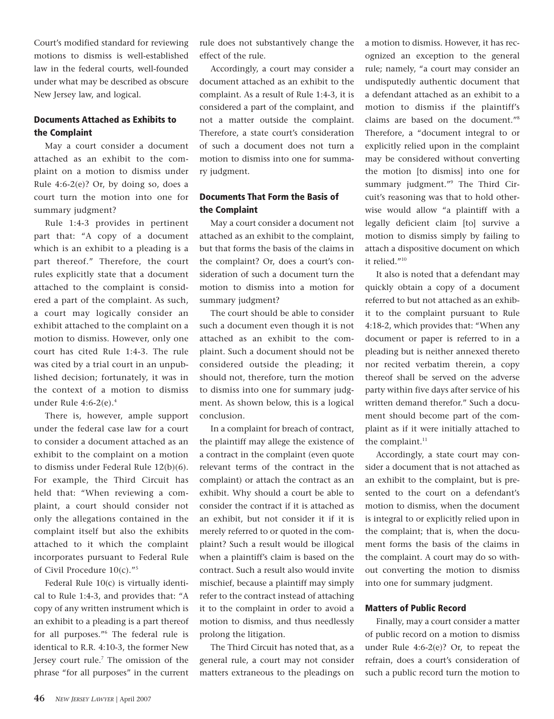Court's modified standard for reviewing motions to dismiss is well-established law in the federal courts, well-founded under what may be described as obscure New Jersey law, and logical.

# **Documents Attached as Exhibits to the Complaint**

May a court consider a document attached as an exhibit to the complaint on a motion to dismiss under Rule  $4:6-2(e)$ ? Or, by doing so, does a court turn the motion into one for summary judgment?

Rule 1:4-3 provides in pertinent part that: "A copy of a document which is an exhibit to a pleading is a part thereof." Therefore, the court rules explicitly state that a document attached to the complaint is considered a part of the complaint. As such, a court may logically consider an exhibit attached to the complaint on a motion to dismiss. However, only one court has cited Rule 1:4-3. The rule was cited by a trial court in an unpublished decision; fortunately, it was in the context of a motion to dismiss under Rule  $4:6-2(e).4$ 

There is, however, ample support under the federal case law for a court to consider a document attached as an exhibit to the complaint on a motion to dismiss under Federal Rule 12(b)(6). For example, the Third Circuit has held that: "When reviewing a complaint, a court should consider not only the allegations contained in the complaint itself but also the exhibits attached to it which the complaint incorporates pursuant to Federal Rule of Civil Procedure 10(c)."5

Federal Rule 10(c) is virtually identical to Rule 1:4-3, and provides that: "A copy of any written instrument which is an exhibit to a pleading is a part thereof for all purposes."6 The federal rule is identical to R.R. 4:10-3, the former New Jersey court rule.<sup>7</sup> The omission of the phrase "for all purposes" in the current rule does not substantively change the effect of the rule.

Accordingly, a court may consider a document attached as an exhibit to the complaint. As a result of Rule 1:4-3, it is considered a part of the complaint, and not a matter outside the complaint. Therefore, a state court's consideration of such a document does not turn a motion to dismiss into one for summary judgment.

# **Documents That Form the Basis of the Complaint**

May a court consider a document not attached as an exhibit to the complaint, but that forms the basis of the claims in the complaint? Or, does a court's consideration of such a document turn the motion to dismiss into a motion for summary judgment?

The court should be able to consider such a document even though it is not attached as an exhibit to the complaint. Such a document should not be considered outside the pleading; it should not, therefore, turn the motion to dismiss into one for summary judgment. As shown below, this is a logical conclusion.

In a complaint for breach of contract, the plaintiff may allege the existence of a contract in the complaint (even quote relevant terms of the contract in the complaint) or attach the contract as an exhibit. Why should a court be able to consider the contract if it is attached as an exhibit, but not consider it if it is merely referred to or quoted in the complaint? Such a result would be illogical when a plaintiff's claim is based on the contract. Such a result also would invite mischief, because a plaintiff may simply refer to the contract instead of attaching it to the complaint in order to avoid a motion to dismiss, and thus needlessly prolong the litigation.

The Third Circuit has noted that, as a general rule, a court may not consider matters extraneous to the pleadings on

a motion to dismiss. However, it has recognized an exception to the general rule; namely, "a court may consider an undisputedly authentic document that a defendant attached as an exhibit to a motion to dismiss if the plaintiff's claims are based on the document."8 Therefore, a "document integral to or explicitly relied upon in the complaint may be considered without converting the motion [to dismiss] into one for summary judgment."9 The Third Circuit's reasoning was that to hold otherwise would allow "a plaintiff with a legally deficient claim [to] survive a motion to dismiss simply by failing to attach a dispositive document on which it relied."10

It also is noted that a defendant may quickly obtain a copy of a document referred to but not attached as an exhibit to the complaint pursuant to Rule 4:18-2, which provides that: "When any document or paper is referred to in a pleading but is neither annexed thereto nor recited verbatim therein, a copy thereof shall be served on the adverse party within five days after service of his written demand therefor." Such a document should become part of the complaint as if it were initially attached to the complaint.<sup>11</sup>

Accordingly, a state court may consider a document that is not attached as an exhibit to the complaint, but is presented to the court on a defendant's motion to dismiss, when the document is integral to or explicitly relied upon in the complaint; that is, when the document forms the basis of the claims in the complaint. A court may do so without converting the motion to dismiss into one for summary judgment.

#### **Matters of Public Record**

Finally, may a court consider a matter of public record on a motion to dismiss under Rule 4:6-2(e)? Or, to repeat the refrain, does a court's consideration of such a public record turn the motion to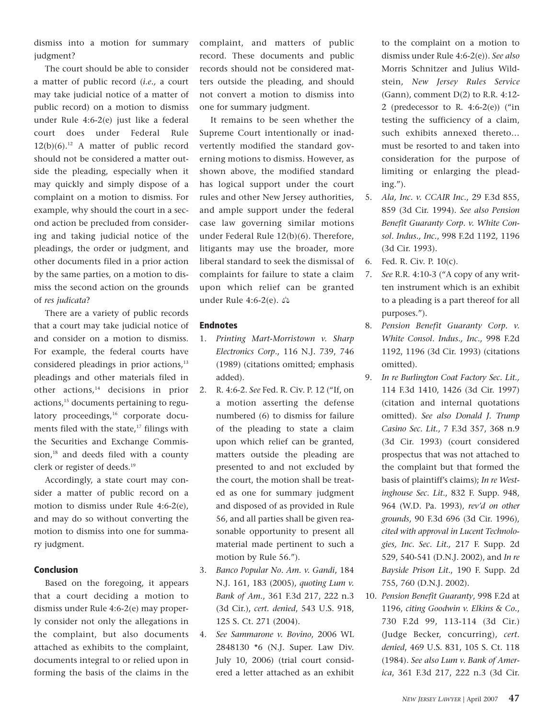dismiss into a motion for summary judgment?

The court should be able to consider a matter of public record (*i.e.,* a court may take judicial notice of a matter of public record) on a motion to dismiss under Rule 4:6-2(e) just like a federal court does under Federal Rule  $12(b)(6).$ <sup>12</sup> A matter of public record should not be considered a matter outside the pleading, especially when it may quickly and simply dispose of a complaint on a motion to dismiss. For example, why should the court in a second action be precluded from considering and taking judicial notice of the pleadings, the order or judgment, and other documents filed in a prior action by the same parties, on a motion to dismiss the second action on the grounds of *res judicata*?

There are a variety of public records that a court may take judicial notice of and consider on a motion to dismiss. For example, the federal courts have considered pleadings in prior actions, $^{13}$ pleadings and other materials filed in other actions,14 decisions in prior actions,15 documents pertaining to regulatory proceedings,<sup>16</sup> corporate documents filed with the state,<sup>17</sup> filings with the Securities and Exchange Commission,<sup>18</sup> and deeds filed with a county clerk or register of deeds.19

Accordingly, a state court may consider a matter of public record on a motion to dismiss under Rule 4:6-2(e), and may do so without converting the motion to dismiss into one for summary judgment.

#### **Conclusion**

Based on the foregoing, it appears that a court deciding a motion to dismiss under Rule 4:6-2(e) may properly consider not only the allegations in the complaint, but also documents attached as exhibits to the complaint, documents integral to or relied upon in forming the basis of the claims in the complaint, and matters of public record. These documents and public records should not be considered matters outside the pleading, and should not convert a motion to dismiss into one for summary judgment.

It remains to be seen whether the Supreme Court intentionally or inadvertently modified the standard governing motions to dismiss. However, as shown above, the modified standard has logical support under the court rules and other New Jersey authorities, and ample support under the federal case law governing similar motions under Federal Rule 12(b)(6). Therefore, litigants may use the broader, more liberal standard to seek the dismissal of complaints for failure to state a claim upon which relief can be granted under Rule 4:6-2(e).  $\phi$ 

#### **Endnotes**

- 1. *Printing Mart-Morristown v. Sharp Electronics Corp*., 116 N.J. 739, 746 (1989) (citations omitted; emphasis added).
- 2. R. 4:6-2. *See* Fed. R. Civ. P. 12 ("If, on a motion asserting the defense numbered (6) to dismiss for failure of the pleading to state a claim upon which relief can be granted, matters outside the pleading are presented to and not excluded by the court, the motion shall be treated as one for summary judgment and disposed of as provided in Rule 56, and all parties shall be given reasonable opportunity to present all material made pertinent to such a motion by Rule 56.").
- 3. *Banco Popular No. Am. v. Gandi*, 184 N.J. 161, 183 (2005), *quoting Lum v. Bank of Am.*, 361 F.3d 217, 222 n.3 (3d Cir.), *cert. denied*, 543 U.S. 918, 125 S. Ct. 271 (2004).
- 4. *See Sammarone v. Bovino*, 2006 WL 2848130 \*6 (N.J. Super. Law Div. July 10, 2006) (trial court considered a letter attached as an exhibit

to the complaint on a motion to dismiss under Rule 4:6-2(e)). *See also* Morris Schnitzer and Julius Wildstein, *New Jersey Rules Service* (Gann), comment D(2) to R.R. 4:12- 2 (predecessor to R. 4:6-2(e)) ("in testing the sufficiency of a claim, such exhibits annexed thereto… must be resorted to and taken into consideration for the purpose of limiting or enlarging the pleading.").

- 5. *Ala, Inc. v. CCAIR Inc*., 29 F.3d 855, 859 (3d Cir. 1994). *See also Pension Benefit Guaranty Corp. v. White Consol. Indus., Inc.*, 998 F.2d 1192, 1196 (3d Cir. 1993).
- 6. Fed. R. Civ. P. 10(c).
- 7. *See* R.R. 4:10-3 ("A copy of any written instrument which is an exhibit to a pleading is a part thereof for all purposes.").
- 8. *Pension Benefit Guaranty Corp. v. White Consol. Indus., Inc*., 998 F.2d 1192, 1196 (3d Cir. 1993) (citations omitted).
- 9. *In re Burlington Coat Factory Sec. Lit.,* 114 F.3d 1410, 1426 (3d Cir. 1997) (citation and internal quotations omitted). *See also Donald J. Trump Casino Sec. Lit.*, 7 F.3d 357, 368 n.9 (3d Cir. 1993) (court considered prospectus that was not attached to the complaint but that formed the basis of plaintiff's claims); *In re Westinghouse Sec. Lit*., 832 F. Supp. 948, 964 (W.D. Pa. 1993), *rev'd on other grounds*, 90 F.3d 696 (3d Cir. 1996), *cited with approval in Lucent Technologies, Inc. Sec. Lit.,* 217 F. Supp. 2d 529, 540-541 (D.N.J. 2002), and *In re Bayside Prison Lit*., 190 F. Supp. 2d 755, 760 (D.N.J. 2002).
- 10. *Pension Benefit Guaranty*, 998 F.2d at 1196, *citing Goodwin v. Elkins & Co.*, 730 F.2d 99, 113-114 (3d Cir.) (Judge Becker, concurring), *cert. denied*, 469 U.S. 831, 105 S. Ct. 118 (1984). *See also Lum v. Bank of America*, 361 F.3d 217, 222 n.3 (3d Cir.